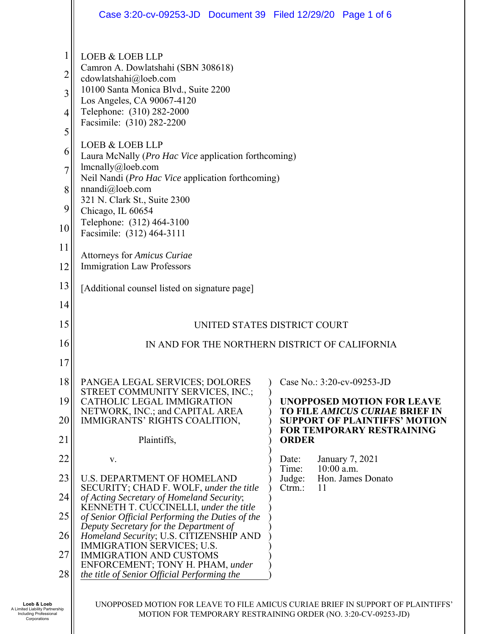|                                                              | Case 3:20-cv-09253-JD  Document 39  Filed 12/29/20  Page 1 of 6                                                                                                                                                                                                                                                                                                                                                                                                                                        |                                                                                                                    |
|--------------------------------------------------------------|--------------------------------------------------------------------------------------------------------------------------------------------------------------------------------------------------------------------------------------------------------------------------------------------------------------------------------------------------------------------------------------------------------------------------------------------------------------------------------------------------------|--------------------------------------------------------------------------------------------------------------------|
| 1<br>$\overline{c}$<br>3<br>4<br>5<br>6<br>7<br>8<br>9<br>10 | <b>LOEB &amp; LOEB LLP</b><br>Camron A. Dowlatshahi (SBN 308618)<br>cdowlatshahi@loeb.com<br>10100 Santa Monica Blvd., Suite 2200<br>Los Angeles, CA 90067-4120<br>Telephone: (310) 282-2000<br>Facsimile: (310) 282-2200<br><b>LOEB &amp; LOEB LLP</b><br>Laura McNally ( <i>Pro Hac Vice</i> application forthcoming)<br>lmcnally@loeb.com<br>Neil Nandi (Pro Hac Vice application forthcoming)<br>nnandi@loeb.com<br>321 N. Clark St., Suite 2300<br>Chicago, IL 60654<br>Telephone: (312) 464-3100 |                                                                                                                    |
| 11                                                           | Facsimile: (312) 464-3111<br>Attorneys for Amicus Curiae                                                                                                                                                                                                                                                                                                                                                                                                                                               |                                                                                                                    |
| 12                                                           | <b>Immigration Law Professors</b>                                                                                                                                                                                                                                                                                                                                                                                                                                                                      |                                                                                                                    |
| 13                                                           | [Additional counsel listed on signature page]                                                                                                                                                                                                                                                                                                                                                                                                                                                          |                                                                                                                    |
| 14                                                           |                                                                                                                                                                                                                                                                                                                                                                                                                                                                                                        |                                                                                                                    |
| 15                                                           |                                                                                                                                                                                                                                                                                                                                                                                                                                                                                                        | UNITED STATES DISTRICT COURT                                                                                       |
| 16                                                           |                                                                                                                                                                                                                                                                                                                                                                                                                                                                                                        | IN AND FOR THE NORTHERN DISTRICT OF CALIFORNIA                                                                     |
| 17                                                           |                                                                                                                                                                                                                                                                                                                                                                                                                                                                                                        |                                                                                                                    |
| 18                                                           | PANGEA LEGAL SERVICES; DOLORES<br>STREET COMMUNITY SERVICES, INC.;                                                                                                                                                                                                                                                                                                                                                                                                                                     | Case No.: 3:20-cv-09253-JD                                                                                         |
| 19                                                           | CATHOLIC LEGAL IMMIGRATION<br>NETWORK, INC.; and CAPITAL AREA                                                                                                                                                                                                                                                                                                                                                                                                                                          | <b>UNOPPOSED MOTION FOR LEAVE</b><br><b>TO FILE AMICUS CURIAE BRIEF IN</b><br><b>SUPPORT OF PLAINTIFFS' MOTION</b> |
| 20<br>21                                                     | IMMIGRANTS' RIGHTS COALITION,<br>Plaintiffs,                                                                                                                                                                                                                                                                                                                                                                                                                                                           | <b>FOR TEMPORARY RESTRAINING</b><br><b>ORDER</b>                                                                   |
| 22                                                           | V.                                                                                                                                                                                                                                                                                                                                                                                                                                                                                                     | Date:<br>January 7, 2021                                                                                           |
| 23                                                           | <b>U.S. DEPARTMENT OF HOMELAND</b>                                                                                                                                                                                                                                                                                                                                                                                                                                                                     | $10:00$ a.m.<br>Time:<br>Hon. James Donato<br>Judge:                                                               |
| 24                                                           | SECURITY; CHAD F. WOLF, under the title<br>of Acting Secretary of Homeland Security;                                                                                                                                                                                                                                                                                                                                                                                                                   | $C$ trm.:<br>11                                                                                                    |
| 25                                                           | KENNETH T. CUCCINELLI, under the title<br>of Senior Official Performing the Duties of the                                                                                                                                                                                                                                                                                                                                                                                                              |                                                                                                                    |
| 26                                                           | Deputy Secretary for the Department of<br>Homeland Security; U.S. CITIZENSHIP AND                                                                                                                                                                                                                                                                                                                                                                                                                      |                                                                                                                    |
| 27                                                           | IMMIGRATION SERVICES; U.S.<br><b>IMMIGRATION AND CUSTOMS</b>                                                                                                                                                                                                                                                                                                                                                                                                                                           |                                                                                                                    |
| 28                                                           | ENFORCEMENT; TONY H. PHAM, under<br>the title of Senior Official Performing the                                                                                                                                                                                                                                                                                                                                                                                                                        |                                                                                                                    |
|                                                              |                                                                                                                                                                                                                                                                                                                                                                                                                                                                                                        |                                                                                                                    |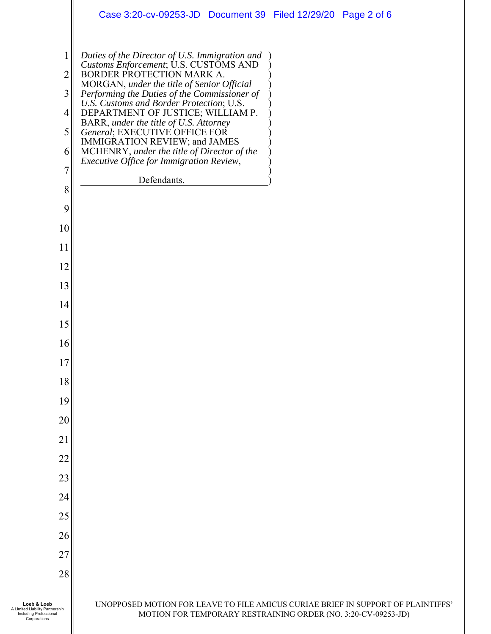|                                                                                          | Case 3:20-cv-09253-JD  Document 39  Filed 12/29/20  Page 2 of 6                                                                                                                                                                                                                                                                                                                                                                                                                                            |
|------------------------------------------------------------------------------------------|------------------------------------------------------------------------------------------------------------------------------------------------------------------------------------------------------------------------------------------------------------------------------------------------------------------------------------------------------------------------------------------------------------------------------------------------------------------------------------------------------------|
| 2<br>$\overline{3}$<br>4<br>5 <sup>1</sup><br>6<br>7                                     | Duties of the Director of U.S. Immigration and<br>Customs Enforcement; U.S. CUSTOMS AND<br>BORDER PROTECTION MARK A.<br>MORGAN, under the title of Senior Official<br>Performing the Duties of the Commissioner of<br>U.S. Customs and Border Protection; U.S.<br>DEPARTMENT OF JUSTICE; WILLIAM P.<br>BARR, under the title of U.S. Attorney<br>General; EXECUTIVE OFFICE FOR<br>IMMIGRATION REVIEW; and JAMES<br>MCHENRY, under the title of Director of the<br>Executive Office for Immigration Review, |
| 8                                                                                        | Defendants.                                                                                                                                                                                                                                                                                                                                                                                                                                                                                                |
| 9                                                                                        |                                                                                                                                                                                                                                                                                                                                                                                                                                                                                                            |
| 10                                                                                       |                                                                                                                                                                                                                                                                                                                                                                                                                                                                                                            |
| 11                                                                                       |                                                                                                                                                                                                                                                                                                                                                                                                                                                                                                            |
| 12                                                                                       |                                                                                                                                                                                                                                                                                                                                                                                                                                                                                                            |
| 13                                                                                       |                                                                                                                                                                                                                                                                                                                                                                                                                                                                                                            |
| 14                                                                                       |                                                                                                                                                                                                                                                                                                                                                                                                                                                                                                            |
| 15                                                                                       |                                                                                                                                                                                                                                                                                                                                                                                                                                                                                                            |
| 16                                                                                       |                                                                                                                                                                                                                                                                                                                                                                                                                                                                                                            |
| T)                                                                                       |                                                                                                                                                                                                                                                                                                                                                                                                                                                                                                            |
| 18                                                                                       |                                                                                                                                                                                                                                                                                                                                                                                                                                                                                                            |
| 19                                                                                       |                                                                                                                                                                                                                                                                                                                                                                                                                                                                                                            |
| 20                                                                                       |                                                                                                                                                                                                                                                                                                                                                                                                                                                                                                            |
| 21                                                                                       |                                                                                                                                                                                                                                                                                                                                                                                                                                                                                                            |
| 22                                                                                       |                                                                                                                                                                                                                                                                                                                                                                                                                                                                                                            |
| 23                                                                                       |                                                                                                                                                                                                                                                                                                                                                                                                                                                                                                            |
| 24                                                                                       |                                                                                                                                                                                                                                                                                                                                                                                                                                                                                                            |
| 25                                                                                       |                                                                                                                                                                                                                                                                                                                                                                                                                                                                                                            |
| 26                                                                                       |                                                                                                                                                                                                                                                                                                                                                                                                                                                                                                            |
| 27                                                                                       |                                                                                                                                                                                                                                                                                                                                                                                                                                                                                                            |
| 28                                                                                       |                                                                                                                                                                                                                                                                                                                                                                                                                                                                                                            |
| Loeb & Loeb<br>A Limited Liability Partnership<br>Including Professional<br>Corporations | UNOPPOSED MOTION FOR LEAVE TO FILE AMICUS CURIAE BRIEF IN SUPPORT OF PLAINTIFFS'<br>MOTION FOR TEMPORARY RESTRAINING ORDER (NO. 3:20-CV-09253-JD)                                                                                                                                                                                                                                                                                                                                                          |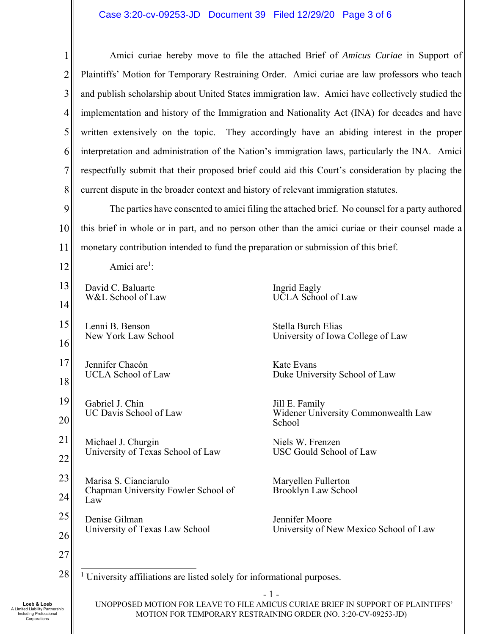### Case 3:20-cv-09253-JD Document 39 Filed 12/29/20 Page 3 of 6

| $\mathbf{1}$   |                                                                                                   | Amici curiae hereby move to file the attached Brief of Amicus Curiae in Support of             |  |
|----------------|---------------------------------------------------------------------------------------------------|------------------------------------------------------------------------------------------------|--|
| $\overline{2}$ | Plaintiffs' Motion for Temporary Restraining Order. Amici curiae are law professors who teach     |                                                                                                |  |
| 3              | and publish scholarship about United States immigration law. Amici have collectively studied the  |                                                                                                |  |
| 4              | implementation and history of the Immigration and Nationality Act (INA) for decades and have      |                                                                                                |  |
| 5              | written extensively on the topic. They accordingly have an abiding interest in the proper         |                                                                                                |  |
| 6              | interpretation and administration of the Nation's immigration laws, particularly the INA. Amici   |                                                                                                |  |
| 7              | respectfully submit that their proposed brief could aid this Court's consideration by placing the |                                                                                                |  |
| 8              | current dispute in the broader context and history of relevant immigration statutes.              |                                                                                                |  |
| 9              |                                                                                                   | The parties have consented to amici filing the attached brief. No counsel for a party authored |  |
| 10             | this brief in whole or in part, and no person other than the amici curiae or their counsel made a |                                                                                                |  |
| 11             | monetary contribution intended to fund the preparation or submission of this brief.               |                                                                                                |  |
| 12             | Amici are <sup>1</sup> :                                                                          |                                                                                                |  |
| 13             | David C. Baluarte                                                                                 | Ingrid Eagly                                                                                   |  |
| 14             | W&L School of Law                                                                                 | <b>UCLA</b> School of Law                                                                      |  |
| 15             | Lenni B. Benson                                                                                   | Stella Burch Elias                                                                             |  |
| 16             | New York Law School                                                                               | University of Iowa College of Law                                                              |  |
| 17             | Jennifer Chacón                                                                                   | Kate Evans                                                                                     |  |
| 18             | <b>UCLA School of Law</b>                                                                         | Duke University School of Law                                                                  |  |
| 19             | Gabriel J. Chin                                                                                   | Jill E. Family                                                                                 |  |
| 20             | UC Davis School of Law                                                                            | Widener University Commonwealth Law<br>School                                                  |  |
| 21             | Michael J. Churgin                                                                                | Niels W. Frenzen                                                                               |  |
| 22             | University of Texas School of Law                                                                 | USC Gould School of Law                                                                        |  |
| 23             | Marisa S. Cianciarulo                                                                             | Maryellen Fullerton                                                                            |  |
| 24             | Chapman University Fowler School of<br>Law                                                        | Brooklyn Law School                                                                            |  |
| 25             | Denise Gilman                                                                                     | Jennifer Moore<br>University of New Mexico School of Law                                       |  |
| 26             | University of Texas Law School                                                                    |                                                                                                |  |
| 27             |                                                                                                   |                                                                                                |  |
| 28             | <sup>1</sup> University affiliations are listed solely for informational purposes.                |                                                                                                |  |
|                | $-1-$<br>UNOPPOSED MOTION FOR LEAVE TO FILE AMICUS CURIAE BRIEF IN SUPPORT OF PLAINTIFFS'         |                                                                                                |  |
| hip            |                                                                                                   |                                                                                                |  |

MOTION FOR TEMPORARY RESTRAINING ORDER (NO. 3:20-CV-09253-JD)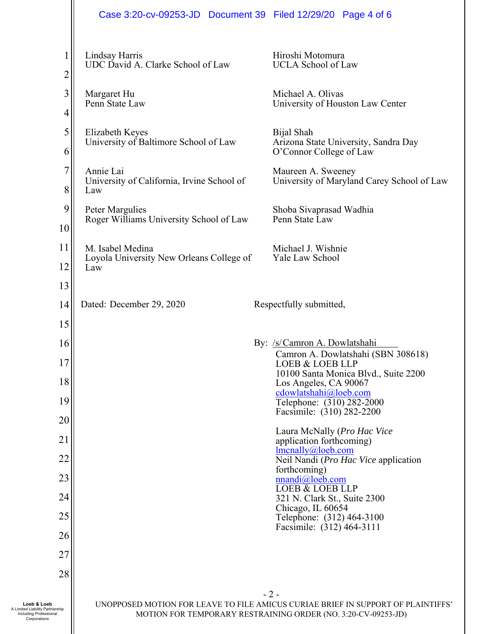|                                                                                          | Case 3:20-cv-09253-JD  Document 39  Filed 12/29/20  Page 4 of 6     |                                                                                                                                                   |
|------------------------------------------------------------------------------------------|---------------------------------------------------------------------|---------------------------------------------------------------------------------------------------------------------------------------------------|
| $\overline{c}$                                                                           | Lindsay Harris<br>UDC David A. Clarke School of Law                 | Hiroshi Motomura<br><b>UCLA School of Law</b>                                                                                                     |
| 3<br>4                                                                                   | Margaret Hu<br>Penn State Law                                       | Michael A. Olivas<br>University of Houston Law Center                                                                                             |
| 5<br>6                                                                                   | Elizabeth Keyes<br>University of Baltimore School of Law            | Bijal Shah<br>Arizona State University, Sandra Day<br>O'Connor College of Law                                                                     |
| 7<br>8                                                                                   | Annie Lai<br>University of California, Irvine School of<br>Law      | Maureen A. Sweeney<br>University of Maryland Carey School of Law                                                                                  |
| 9<br>10                                                                                  | Peter Margulies<br>Roger Williams University School of Law          | Shoba Sivaprasad Wadhia<br>Penn State Law                                                                                                         |
| 11<br>12                                                                                 | M. Isabel Medina<br>Loyola University New Orleans College of<br>Law | Michael J. Wishnie<br>Yale Law School                                                                                                             |
| 13<br>14                                                                                 | Dated: December 29, 2020                                            | Respectfully submitted,                                                                                                                           |
| 15                                                                                       |                                                                     |                                                                                                                                                   |
| 16                                                                                       |                                                                     | By: /s/Camron A. Dowlatshahi                                                                                                                      |
| $\perp$                                                                                  |                                                                     | Camron A. Dowlatshahi (SBN 308618)<br><b>LOEB &amp; LOEB LLP</b>                                                                                  |
| 18                                                                                       |                                                                     | 10100 Santa Monica Blvd., Suite 2200<br>Los Angeles, CA 90067<br>cdowlatshahi@loeb.com                                                            |
| 19                                                                                       |                                                                     | Telephone: (310) 282-2000<br>Facsimile: (310) 282-2200                                                                                            |
| 20<br>21                                                                                 |                                                                     | Laura McNally (Pro Hac Vice                                                                                                                       |
| 22                                                                                       |                                                                     | application forthcoming)<br>lmenally@,lob.com<br>Neil Nandi (Pro Hac Vice application                                                             |
| 23                                                                                       |                                                                     | forthcoming)<br>nnandi@loeb.com                                                                                                                   |
| 24                                                                                       |                                                                     | <b>LOEB &amp; LOEB LLP</b><br>321 N. Clark St., Suite 2300                                                                                        |
| 25                                                                                       |                                                                     | Chicago, IL 60654<br>Telephone: (312) 464-3100<br>Facsimile: (312) 464-3111                                                                       |
| 26                                                                                       |                                                                     |                                                                                                                                                   |
| 27                                                                                       |                                                                     |                                                                                                                                                   |
| 28                                                                                       |                                                                     | $-2-$                                                                                                                                             |
| Loeb & Loeb<br>A Limited Liability Partnership<br>Including Professional<br>Corporations |                                                                     | UNOPPOSED MOTION FOR LEAVE TO FILE AMICUS CURIAE BRIEF IN SUPPORT OF PLAINTIFFS'<br>MOTION FOR TEMPORARY RESTRAINING ORDER (NO. 3:20-CV-09253-JD) |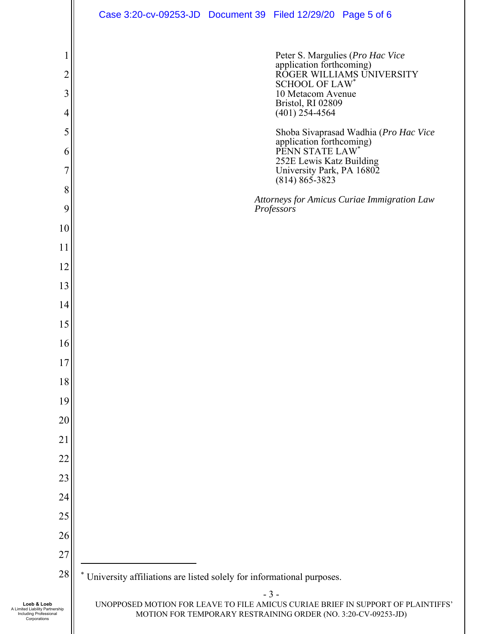|                                                                                          | Case 3:20-cv-09253-JD  Document 39  Filed 12/29/20  Page 5 of 6                                                                                                                                                                                                                                      |
|------------------------------------------------------------------------------------------|------------------------------------------------------------------------------------------------------------------------------------------------------------------------------------------------------------------------------------------------------------------------------------------------------|
| $\overline{2}$<br>3<br>4<br>5<br>6                                                       | Peter S. Margulies (Pro Hac Vice<br>application forthcoming)<br>ROGER WILLIAMS UNIVERSITY<br><b>SCHOOL OF LAW*</b><br>10 Metacom Avenue<br>Bristol, RI 02809<br>$(401)$ 254-4564<br>Shoba Sivaprasad Wadhia (Pro Hac Vice<br>application forthcoming)<br>PENN STATE LAW*<br>252E Lewis Katz Building |
| 7<br>8                                                                                   | University Park, PA 16802<br>$(814) 865 - 3823$                                                                                                                                                                                                                                                      |
| 9<br>10                                                                                  | Attorneys for Amicus Curiae Immigration Law<br>Professors                                                                                                                                                                                                                                            |
| 11<br>12                                                                                 |                                                                                                                                                                                                                                                                                                      |
| 13<br>14                                                                                 |                                                                                                                                                                                                                                                                                                      |
| 15<br>16                                                                                 |                                                                                                                                                                                                                                                                                                      |
| 17<br>18                                                                                 |                                                                                                                                                                                                                                                                                                      |
| 19<br>20                                                                                 |                                                                                                                                                                                                                                                                                                      |
| 21<br>22                                                                                 |                                                                                                                                                                                                                                                                                                      |
| 23<br>24                                                                                 |                                                                                                                                                                                                                                                                                                      |
| 25<br>26                                                                                 |                                                                                                                                                                                                                                                                                                      |
| 27<br>28                                                                                 | University affiliations are listed solely for informational purposes.                                                                                                                                                                                                                                |
| Loeb & Loeb<br>A Limited Liability Partnership<br>Including Professional<br>Corporations | $-3-$<br>UNOPPOSED MOTION FOR LEAVE TO FILE AMICUS CURIAE BRIEF IN SUPPORT OF PLAINTIFFS'<br>MOTION FOR TEMPORARY RESTRAINING ORDER (NO. 3:20-CV-09253-JD)                                                                                                                                           |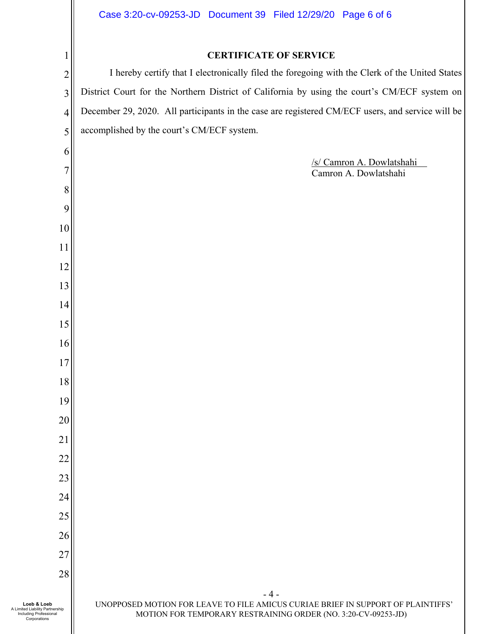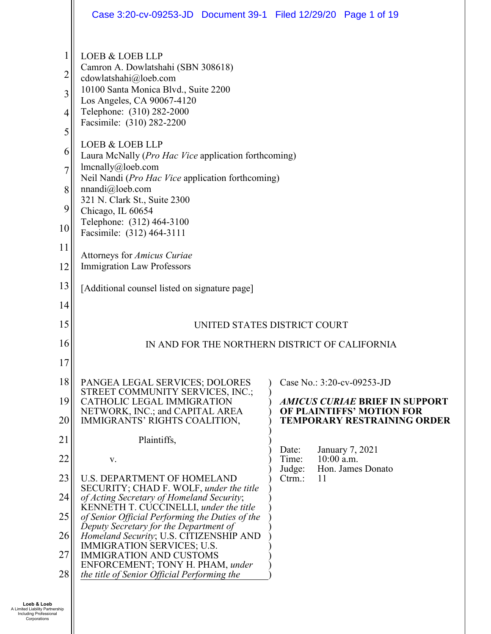|                                          | Case 3:20-cv-09253-JD  Document 39-1  Filed 12/29/20  Page 1 of 19                                                                                                                                                                                                                          |                                                                     |
|------------------------------------------|---------------------------------------------------------------------------------------------------------------------------------------------------------------------------------------------------------------------------------------------------------------------------------------------|---------------------------------------------------------------------|
| 1<br>2<br>3<br>4                         | <b>LOEB &amp; LOEB LLP</b><br>Camron A. Dowlatshahi (SBN 308618)<br>cdowlatshahi@loeb.com<br>10100 Santa Monica Blvd., Suite 2200<br>Los Angeles, CA 90067-4120<br>Telephone: (310) 282-2000<br>Facsimile: (310) 282-2200                                                                   |                                                                     |
| 5<br>6<br>$\overline{7}$<br>8<br>9<br>10 | LOEB & LOEB LLP<br>Laura McNally ( <i>Pro Hac Vice</i> application forthcoming)<br>lmenally@loeb.com<br>Neil Nandi (Pro Hac Vice application forthcoming)<br>nnandi@loeb.com<br>321 N. Clark St., Suite 2300<br>Chicago, IL 60654<br>Telephone: (312) 464-3100<br>Facsimile: (312) 464-3111 |                                                                     |
| 11<br>12                                 | Attorneys for Amicus Curiae<br><b>Immigration Law Professors</b>                                                                                                                                                                                                                            |                                                                     |
| 13                                       | [Additional counsel listed on signature page]                                                                                                                                                                                                                                               |                                                                     |
| 14                                       |                                                                                                                                                                                                                                                                                             |                                                                     |
| 15                                       | UNITED STATES DISTRICT COURT                                                                                                                                                                                                                                                                |                                                                     |
| 16                                       | IN AND FOR THE NORTHERN DISTRICT OF CALIFORNIA                                                                                                                                                                                                                                              |                                                                     |
| 17                                       |                                                                                                                                                                                                                                                                                             |                                                                     |
| 18<br>19                                 | PANGEA LEGAL SERVICES; DOLORES<br>STREET COMMUNITY SERVICES, INC.;<br>CATHOLIC LEGAL IMMIGRATION                                                                                                                                                                                            | Case No.: 3:20-cv-09253-JD<br><b>AMICUS CURIAE BRIEF IN SUPPORT</b> |
| 20                                       | NETWORK, INC.; and CAPITAL AREA<br>IMMIGRANTS' RIGHTS COALITION,                                                                                                                                                                                                                            | OF PLAINTIFFS' MOTION FOR<br><b>TEMPORARY RESTRAINING ORDER</b>     |
| 21                                       | Plaintiffs,                                                                                                                                                                                                                                                                                 |                                                                     |
| 22                                       | V.                                                                                                                                                                                                                                                                                          | January 7, 2021<br>Date:<br>$10:00$ a.m.<br>Time:                   |
| 23                                       | <b>U.S. DEPARTMENT OF HOMELAND</b>                                                                                                                                                                                                                                                          | Hon. James Donato<br>Judge:<br>11<br>$C$ trm.:                      |
| 24                                       | SECURITY; CHAD F. WOLF, under the title<br>of Acting Secretary of Homeland Security;                                                                                                                                                                                                        |                                                                     |
| 25                                       | KENNETH T. CUCCINELLI, under the title<br>of Senior Official Performing the Duties of the                                                                                                                                                                                                   |                                                                     |
| 26                                       | Deputy Secretary for the Department of<br>Homeland Security; U.S. CITIZENSHIP AND                                                                                                                                                                                                           |                                                                     |
| 27                                       | IMMIGRATION SERVICES; U.S.<br><b>IMMIGRATION AND CUSTOMS</b>                                                                                                                                                                                                                                |                                                                     |
| 28                                       | ENFORCEMENT; TONY H. PHAM, under<br>the title of Senior Official Performing the                                                                                                                                                                                                             |                                                                     |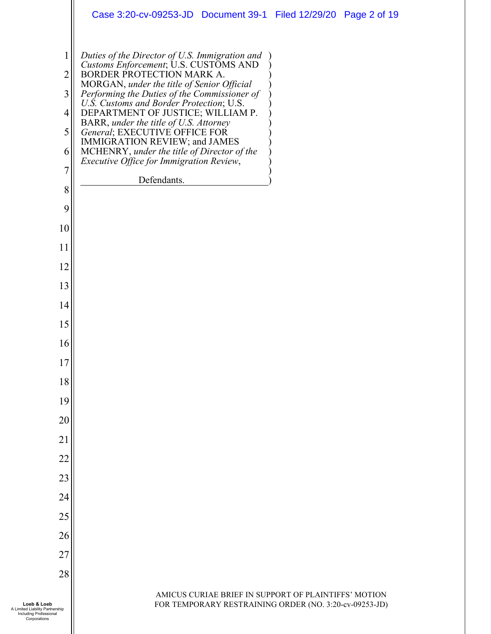|                                                 | Case 3:20-cv-09253-JD  Document 39-1  Filed 12/29/20  Page 2 of 19                                                                                                                                                                                                                                                                                                                                              |
|-------------------------------------------------|-----------------------------------------------------------------------------------------------------------------------------------------------------------------------------------------------------------------------------------------------------------------------------------------------------------------------------------------------------------------------------------------------------------------|
| 1<br>$\overline{2}$<br>3<br>$\overline{4}$<br>5 | Duties of the Director of U.S. Immigration and<br>Customs Enforcement; U.S. CUSTOMS AND<br>BORDER PROTECTION MARK A.<br>MORGAN, under the title of Senior Official<br>Performing the Duties of the Commissioner of<br>U.S. Customs and Border Protection; U.S.<br>DEPARTMENT OF JUSTICE; WILLIAM P.<br>BARR, under the title of U.S. Attorney<br>General; EXECUTIVE OFFICE FOR<br>IMMIGRATION REVIEW; and JAMES |
| 6                                               | MCHENRY, under the title of Director of the<br>Executive Office for Immigration Review,                                                                                                                                                                                                                                                                                                                         |
| 7                                               | Defendants.                                                                                                                                                                                                                                                                                                                                                                                                     |
| 8<br>9                                          |                                                                                                                                                                                                                                                                                                                                                                                                                 |
| 10                                              |                                                                                                                                                                                                                                                                                                                                                                                                                 |
| 11                                              |                                                                                                                                                                                                                                                                                                                                                                                                                 |
| 12                                              |                                                                                                                                                                                                                                                                                                                                                                                                                 |
| 13                                              |                                                                                                                                                                                                                                                                                                                                                                                                                 |
| 14                                              |                                                                                                                                                                                                                                                                                                                                                                                                                 |
| 15                                              |                                                                                                                                                                                                                                                                                                                                                                                                                 |
| 16                                              |                                                                                                                                                                                                                                                                                                                                                                                                                 |
| 17                                              |                                                                                                                                                                                                                                                                                                                                                                                                                 |
| 18                                              |                                                                                                                                                                                                                                                                                                                                                                                                                 |
| 19<br>20                                        |                                                                                                                                                                                                                                                                                                                                                                                                                 |
| 21                                              |                                                                                                                                                                                                                                                                                                                                                                                                                 |
| 22                                              |                                                                                                                                                                                                                                                                                                                                                                                                                 |
| 23                                              |                                                                                                                                                                                                                                                                                                                                                                                                                 |
| 24                                              |                                                                                                                                                                                                                                                                                                                                                                                                                 |
| 25                                              |                                                                                                                                                                                                                                                                                                                                                                                                                 |
| 26                                              |                                                                                                                                                                                                                                                                                                                                                                                                                 |
| 27                                              |                                                                                                                                                                                                                                                                                                                                                                                                                 |
| 28                                              |                                                                                                                                                                                                                                                                                                                                                                                                                 |
|                                                 | AMICUS CURIAE BRIEF IN SUPPORT OF PLAINTIFFS' MOTION                                                                                                                                                                                                                                                                                                                                                            |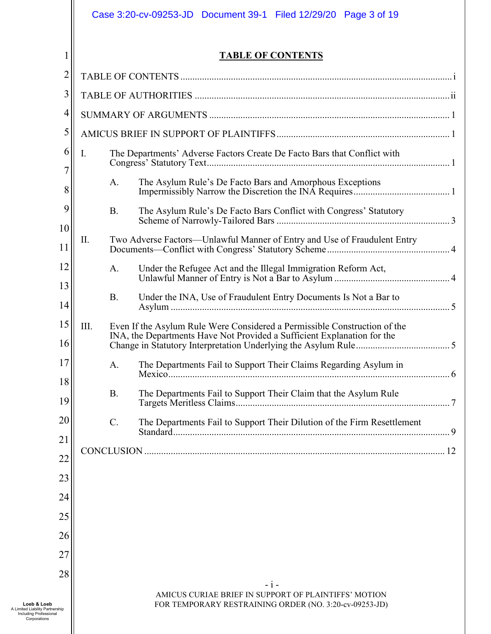|                                                                                                 | Case 3:20-cv-09253-JD  Document 39-1  Filed 12/29/20<br>Page 3 of 19                                           |
|-------------------------------------------------------------------------------------------------|----------------------------------------------------------------------------------------------------------------|
|                                                                                                 | <b>TABLE OF CONTENTS</b>                                                                                       |
| 2                                                                                               |                                                                                                                |
| 3                                                                                               |                                                                                                                |
| $\overline{4}$                                                                                  |                                                                                                                |
| 5                                                                                               |                                                                                                                |
| 6<br>$\overline{7}$                                                                             | The Departments' Adverse Factors Create De Facto Bars that Conflict with<br>Ι.                                 |
| 8                                                                                               | The Asylum Rule's De Facto Bars and Amorphous Exceptions<br>A.                                                 |
| 9                                                                                               | The Asylum Rule's De Facto Bars Conflict with Congress' Statutory<br><b>B.</b>                                 |
| 10<br>11                                                                                        | Two Adverse Factors—Unlawful Manner of Entry and Use of Fraudulent Entry<br>II.                                |
| 12                                                                                              | Under the Refugee Act and the Illegal Immigration Reform Act,<br>A.                                            |
| 13<br>14                                                                                        | <b>B.</b><br>Under the INA, Use of Fraudulent Entry Documents Is Not a Bar to                                  |
| 15                                                                                              | III.<br>Even If the Asylum Rule Were Considered a Permissible Construction of the                              |
| 16                                                                                              | INA, the Departments Have Not Provided a Sufficient Explanation for the                                        |
| 17                                                                                              | The Departments Fail to Support Their Claims Regarding Asylum in<br>A.                                         |
| 18<br>19                                                                                        | <b>B.</b><br>The Departments Fail to Support Their Claim that the Asylum Rule                                  |
| 20                                                                                              | $\mathcal{C}$ .<br>The Departments Fail to Support Their Dilution of the Firm Resettlement                     |
| 21                                                                                              |                                                                                                                |
| 22                                                                                              |                                                                                                                |
| 23                                                                                              |                                                                                                                |
| 24                                                                                              |                                                                                                                |
| 25                                                                                              |                                                                                                                |
| 26                                                                                              |                                                                                                                |
| 27                                                                                              |                                                                                                                |
| 28                                                                                              | – i –                                                                                                          |
| Loeb & Loeb<br>A Limited Liability Partnership<br><b>Including Professional</b><br>Corporations | AMICUS CURIAE BRIEF IN SUPPORT OF PLAINTIFFS' MOTION<br>FOR TEMPORARY RESTRAINING ORDER (NO. 3:20-cv-09253-JD) |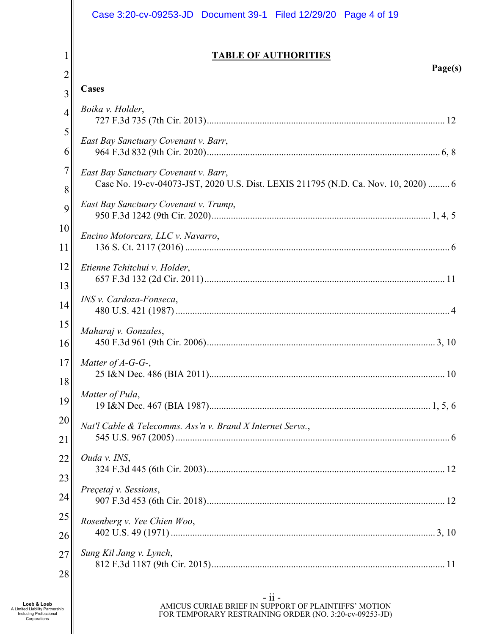|    | Case 3:20-cv-09253-JD  Document 39-1  Filed 12/29/20  Page 4 of 19                 |
|----|------------------------------------------------------------------------------------|
| 1  | <b>TABLE OF AUTHORITIES</b><br>Page(s)                                             |
| 2  | Cases                                                                              |
| 3  |                                                                                    |
| 4  | Boika v. Holder,                                                                   |
| 5  | East Bay Sanctuary Covenant v. Barr,                                               |
| 6  |                                                                                    |
| 7  | East Bay Sanctuary Covenant v. Barr,                                               |
| 8  | Case No. 19-cv-04073-JST, 2020 U.S. Dist. LEXIS 211795 (N.D. Ca. Nov. 10, 2020)  6 |
| 9  | East Bay Sanctuary Covenant v. Trump,                                              |
| 10 | Encino Motorcars, LLC v. Navarro,                                                  |
| 11 |                                                                                    |
| 12 | Etienne Tchitchui v. Holder,                                                       |
| 13 |                                                                                    |
| 14 | INS v. Cardoza-Fonseca,                                                            |
| 15 | Maharaj v. Gonzales,                                                               |
| 16 |                                                                                    |
| 17 | Matter of $A-G-G$ -,                                                               |
| 18 |                                                                                    |
| 19 | Matter of Pula,                                                                    |
| 20 | Nat'l Cable & Telecomms. Ass'n v. Brand X Internet Servs.,                         |
| 21 |                                                                                    |
| 22 | Ouda v. INS,                                                                       |
| 23 |                                                                                    |
| 24 | Precetaj v. Sessions,                                                              |
| 25 |                                                                                    |
| 26 | Rosenberg v. Yee Chien Woo,                                                        |
| 27 | Sung Kil Jang v. Lynch,                                                            |
| 28 |                                                                                    |
|    | $-$ ii $-$                                                                         |

AMICUS CURIAE BRIEF IN SUPPORT OF PLAINTIFFS' MOTION FOR TEMPORARY RESTRAINING ORDER (NO. 3:20-cv-09253-JD)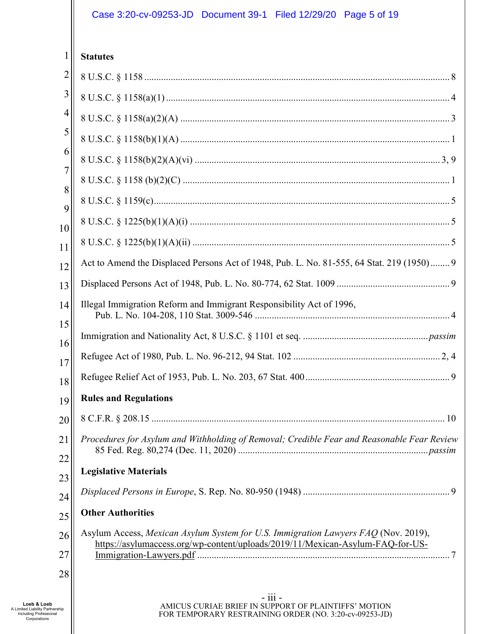| 1              | <b>Statutes</b>                                                                                                                                                      |
|----------------|----------------------------------------------------------------------------------------------------------------------------------------------------------------------|
| $\overline{2}$ |                                                                                                                                                                      |
| 3              |                                                                                                                                                                      |
| 4              |                                                                                                                                                                      |
| 5              |                                                                                                                                                                      |
| 6              |                                                                                                                                                                      |
| 7<br>8         |                                                                                                                                                                      |
| 9              |                                                                                                                                                                      |
| 10             |                                                                                                                                                                      |
| 11             |                                                                                                                                                                      |
| 12             | Act to Amend the Displaced Persons Act of 1948, Pub. L. No. 81-555, 64 Stat. 219 (1950) 9                                                                            |
| 13             |                                                                                                                                                                      |
| 14             | Illegal Immigration Reform and Immigrant Responsibility Act of 1996,                                                                                                 |
| 15<br>16       |                                                                                                                                                                      |
| 17             |                                                                                                                                                                      |
| 18             |                                                                                                                                                                      |
| 19             | <b>Rules and Regulations</b>                                                                                                                                         |
| 20             |                                                                                                                                                                      |
| 21<br>22       | Procedures for Asylum and Withholding of Removal; Credible Fear and Reasonable Fear Review                                                                           |
| 23             | <b>Legislative Materials</b>                                                                                                                                         |
| 24             |                                                                                                                                                                      |
| 25             | <b>Other Authorities</b>                                                                                                                                             |
| 26             | Asylum Access, Mexican Asylum System for U.S. Immigration Lawyers FAQ (Nov. 2019),<br>https://asylumaccess.org/wp-content/uploads/2019/11/Mexican-Asylum-FAQ-for-US- |
| 27<br>28       | Immigration-Lawyers.pdf.                                                                                                                                             |
|                |                                                                                                                                                                      |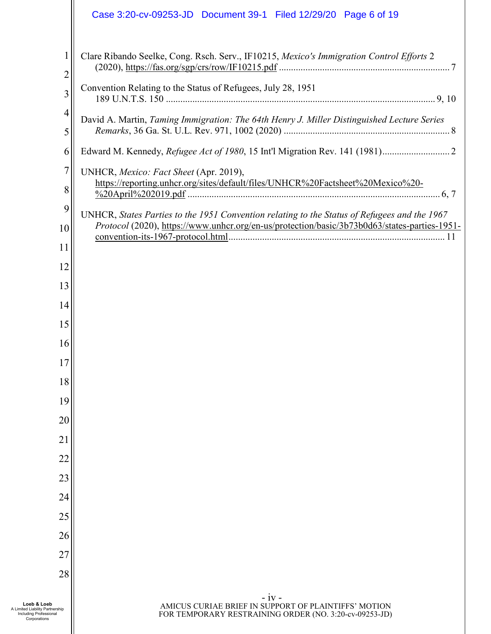|                     | Case 3:20-cv-09253-JD  Document 39-1  Filed 12/29/20  Page 6 of 19                                                        |
|---------------------|---------------------------------------------------------------------------------------------------------------------------|
| 1<br>$\overline{c}$ | Clare Ribando Seelke, Cong. Rsch. Serv., IF10215, Mexico's Immigration Control Efforts 2                                  |
| 3                   | Convention Relating to the Status of Refugees, July 28, 1951                                                              |
| 4                   | David A. Martin, Taming Immigration: The 64th Henry J. Miller Distinguished Lecture Series                                |
| 5                   |                                                                                                                           |
| 6                   |                                                                                                                           |
| 7                   | UNHCR, Mexico: Fact Sheet (Apr. 2019),                                                                                    |
| 8                   | https://reporting.unhcr.org/sites/default/files/UNHCR%20Factsheet%20Mexico%20-                                            |
| 9                   | UNHCR, States Parties to the 1951 Convention relating to the Status of Refugees and the 1967                              |
| 10                  | Protocol (2020), https://www.unhcr.org/en-us/protection/basic/3b73b0d63/states-parties-1951-                              |
| 11                  |                                                                                                                           |
| 12                  |                                                                                                                           |
| 13                  |                                                                                                                           |
| 14                  |                                                                                                                           |
| 15                  |                                                                                                                           |
| 16                  |                                                                                                                           |
| 17                  |                                                                                                                           |
| 18                  |                                                                                                                           |
| 19                  |                                                                                                                           |
| 20                  |                                                                                                                           |
| 21                  |                                                                                                                           |
| 22<br>23            |                                                                                                                           |
| 24                  |                                                                                                                           |
| 25                  |                                                                                                                           |
| 26                  |                                                                                                                           |
| 27                  |                                                                                                                           |
| 28                  |                                                                                                                           |
|                     |                                                                                                                           |
| ership<br>ıal       | $-iv -$<br>AMICUS CURIAE BRIEF IN SUPPORT OF PLAINTIFFS' MOTION<br>FOR TEMPORARY RESTRAINING ORDER (NO. 3:20-cv-09253-JD) |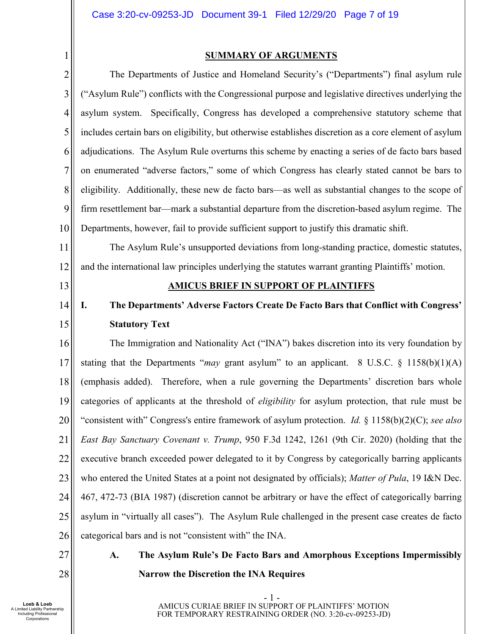#### 1 2 3 4 5 6 7 8 9 10 11 12 13 14 15 16 17 18 19 20 21 22 23 24 25 26 **SUMMARY OF ARGUMENTS**  The Departments of Justice and Homeland Security's ("Departments") final asylum rule ("Asylum Rule") conflicts with the Congressional purpose and legislative directives underlying the asylum system. Specifically, Congress has developed a comprehensive statutory scheme that includes certain bars on eligibility, but otherwise establishes discretion as a core element of asylum adjudications. The Asylum Rule overturns this scheme by enacting a series of de facto bars based on enumerated "adverse factors," some of which Congress has clearly stated cannot be bars to eligibility. Additionally, these new de facto bars—as well as substantial changes to the scope of firm resettlement bar—mark a substantial departure from the discretion-based asylum regime. The Departments, however, fail to provide sufficient support to justify this dramatic shift. The Asylum Rule's unsupported deviations from long-standing practice, domestic statutes, and the international law principles underlying the statutes warrant granting Plaintiffs' motion. **AMICUS BRIEF IN SUPPORT OF PLAINTIFFS I. The Departments' Adverse Factors Create De Facto Bars that Conflict with Congress' Statutory Text**  The Immigration and Nationality Act ("INA") bakes discretion into its very foundation by stating that the Departments "*may* grant asylum" to an applicant. 8 U.S.C.  $\S$  1158(b)(1)(A) (emphasis added). Therefore, when a rule governing the Departments' discretion bars whole categories of applicants at the threshold of *eligibility* for asylum protection, that rule must be "consistent with" Congress's entire framework of asylum protection. *Id.* § 1158(b)(2)(C); *see also East Bay Sanctuary Covenant v. Trump*, 950 F.3d 1242, 1261 (9th Cir. 2020) (holding that the executive branch exceeded power delegated to it by Congress by categorically barring applicants who entered the United States at a point not designated by officials); *Matter of Pula*, 19 I&N Dec. 467, 472-73 (BIA 1987) (discretion cannot be arbitrary or have the effect of categorically barring asylum in "virtually all cases"). The Asylum Rule challenged in the present case creates de facto categorical bars and is not "consistent with" the INA.

- 27 28
- **A. The Asylum Rule's De Facto Bars and Amorphous Exceptions Impermissibly Narrow the Discretion the INA Requires**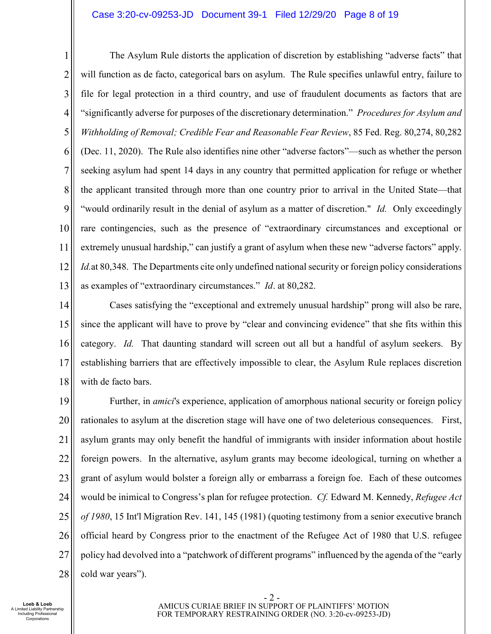#### Case 3:20-cv-09253-JD Document 39-1 Filed 12/29/20 Page 8 of 19

1 2 3 4 5 6 7 8 9 10 11 12 13 The Asylum Rule distorts the application of discretion by establishing "adverse facts" that will function as de facto, categorical bars on asylum. The Rule specifies unlawful entry, failure to file for legal protection in a third country, and use of fraudulent documents as factors that are "significantly adverse for purposes of the discretionary determination." *Procedures for Asylum and Withholding of Removal; Credible Fear and Reasonable Fear Review*, 85 Fed. Reg. 80,274, 80,282 (Dec. 11, 2020). The Rule also identifies nine other "adverse factors"—such as whether the person seeking asylum had spent 14 days in any country that permitted application for refuge or whether the applicant transited through more than one country prior to arrival in the United State—that "would ordinarily result in the denial of asylum as a matter of discretion." *Id.* Only exceedingly rare contingencies, such as the presence of "extraordinary circumstances and exceptional or extremely unusual hardship," can justify a grant of asylum when these new "adverse factors" apply. *Id.*at 80,348. The Departments cite only undefined national security or foreign policy considerations as examples of "extraordinary circumstances." *Id*. at 80,282.

14 15 16 17 18 Cases satisfying the "exceptional and extremely unusual hardship" prong will also be rare, since the applicant will have to prove by "clear and convincing evidence" that she fits within this category. *Id.* That daunting standard will screen out all but a handful of asylum seekers. By establishing barriers that are effectively impossible to clear, the Asylum Rule replaces discretion with de facto bars.

19 20 21 22 23 24 25 26 27 28 Further, in *amici*'s experience, application of amorphous national security or foreign policy rationales to asylum at the discretion stage will have one of two deleterious consequences. First, asylum grants may only benefit the handful of immigrants with insider information about hostile foreign powers. In the alternative, asylum grants may become ideological, turning on whether a grant of asylum would bolster a foreign ally or embarrass a foreign foe. Each of these outcomes would be inimical to Congress's plan for refugee protection. *Cf.* Edward M. Kennedy, *Refugee Act of 1980*, 15 Int'l Migration Rev. 141, 145 (1981) (quoting testimony from a senior executive branch official heard by Congress prior to the enactment of the Refugee Act of 1980 that U.S. refugee policy had devolved into a "patchwork of different programs" influenced by the agenda of the "early cold war years").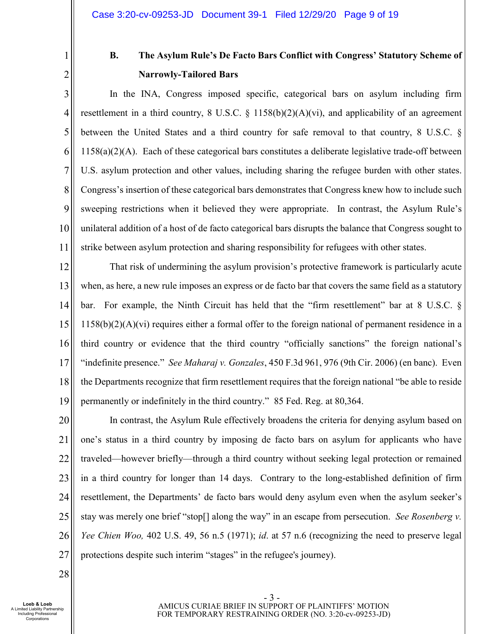1 2

# **B. The Asylum Rule's De Facto Bars Conflict with Congress' Statutory Scheme of Narrowly-Tailored Bars**

3 4 5 6 7 8 9 10 11 In the INA, Congress imposed specific, categorical bars on asylum including firm resettlement in a third country, 8 U.S.C.  $\S$  1158(b)(2)(A)(vi), and applicability of an agreement between the United States and a third country for safe removal to that country, 8 U.S.C. §  $1158(a)(2)(A)$ . Each of these categorical bars constitutes a deliberate legislative trade-off between U.S. asylum protection and other values, including sharing the refugee burden with other states. Congress's insertion of these categorical bars demonstrates that Congress knew how to include such sweeping restrictions when it believed they were appropriate. In contrast, the Asylum Rule's unilateral addition of a host of de facto categorical bars disrupts the balance that Congress sought to strike between asylum protection and sharing responsibility for refugees with other states.

12 13 14 15 16 17 18 19 That risk of undermining the asylum provision's protective framework is particularly acute when, as here, a new rule imposes an express or de facto bar that covers the same field as a statutory bar. For example, the Ninth Circuit has held that the "firm resettlement" bar at 8 U.S.C. §  $1158(b)(2)(A)(vi)$  requires either a formal offer to the foreign national of permanent residence in a third country or evidence that the third country "officially sanctions" the foreign national's "indefinite presence." *See Maharaj v. Gonzales*, 450 F.3d 961, 976 (9th Cir. 2006) (en banc). Even the Departments recognize that firm resettlement requires that the foreign national "be able to reside permanently or indefinitely in the third country." 85 Fed. Reg. at 80,364.

20 21 22 23 24 25 26 27 In contrast, the Asylum Rule effectively broadens the criteria for denying asylum based on one's status in a third country by imposing de facto bars on asylum for applicants who have traveled—however briefly—through a third country without seeking legal protection or remained in a third country for longer than 14 days. Contrary to the long-established definition of firm resettlement, the Departments' de facto bars would deny asylum even when the asylum seeker's stay was merely one brief "stop[] along the way" in an escape from persecution. *See Rosenberg v. Yee Chien Woo,* 402 U.S. 49, 56 n.5 (1971); *id*. at 57 n.6 (recognizing the need to preserve legal protections despite such interim "stages" in the refugee's journey).

28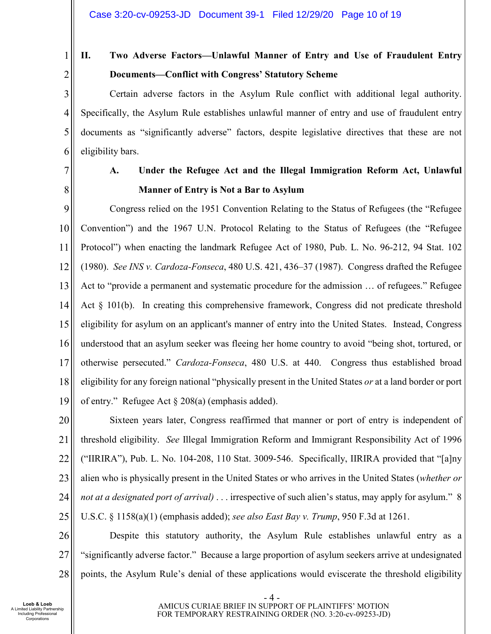- 1
- 2

# **II. Two Adverse Factors—Unlawful Manner of Entry and Use of Fraudulent Entry Documents—Conflict with Congress' Statutory Scheme**

3 4 5 6 Certain adverse factors in the Asylum Rule conflict with additional legal authority. Specifically, the Asylum Rule establishes unlawful manner of entry and use of fraudulent entry documents as "significantly adverse" factors, despite legislative directives that these are not eligibility bars.

7

8

## **A. Under the Refugee Act and the Illegal Immigration Reform Act, Unlawful Manner of Entry is Not a Bar to Asylum**

9 10 11 12 13 14 15 16 17 18 19 Congress relied on the 1951 Convention Relating to the Status of Refugees (the "Refugee Convention") and the 1967 U.N. Protocol Relating to the Status of Refugees (the "Refugee Protocol") when enacting the landmark Refugee Act of 1980, Pub. L. No. 96-212, 94 Stat. 102 (1980). *See INS v. Cardoza-Fonseca*, 480 U.S. 421, 436–37 (1987). Congress drafted the Refugee Act to "provide a permanent and systematic procedure for the admission … of refugees." Refugee Act § 101(b). In creating this comprehensive framework, Congress did not predicate threshold eligibility for asylum on an applicant's manner of entry into the United States. Instead, Congress understood that an asylum seeker was fleeing her home country to avoid "being shot, tortured, or otherwise persecuted." *Cardoza-Fonseca*, 480 U.S. at 440. Congress thus established broad eligibility for any foreign national "physically present in the United States *or* at a land border or port of entry." Refugee Act § 208(a) (emphasis added).

20 21 22 23 24 25 Sixteen years later, Congress reaffirmed that manner or port of entry is independent of threshold eligibility. *See* Illegal Immigration Reform and Immigrant Responsibility Act of 1996 ("IIRIRA"), Pub. L. No. 104-208, 110 Stat. 3009-546. Specifically, IIRIRA provided that "[a]ny alien who is physically present in the United States or who arrives in the United States (*whether or not at a designated port of arrival)* . . . irrespective of such alien's status, may apply for asylum." 8 U.S.C. § 1158(a)(1) (emphasis added); *see also East Bay v. Trump*, 950 F.3d at 1261.

26 27 28 Despite this statutory authority, the Asylum Rule establishes unlawful entry as a "significantly adverse factor." Because a large proportion of asylum seekers arrive at undesignated points, the Asylum Rule's denial of these applications would eviscerate the threshold eligibility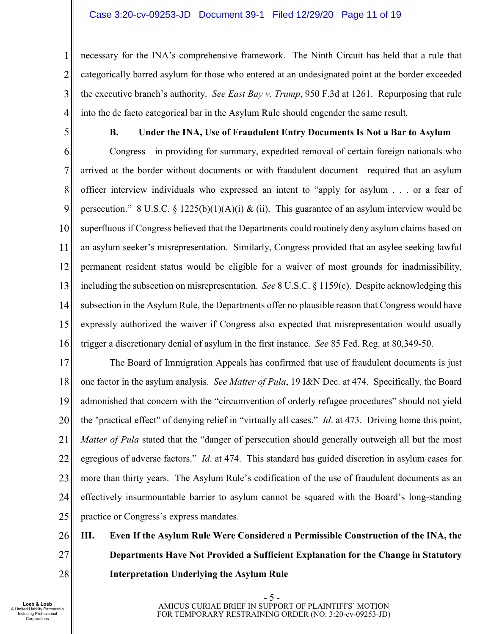#### Case 3:20-cv-09253-JD Document 39-1 Filed 12/29/20 Page 11 of 19

1 2 3 4 necessary for the INA's comprehensive framework. The Ninth Circuit has held that a rule that categorically barred asylum for those who entered at an undesignated point at the border exceeded the executive branch's authority. *See East Bay v. Trump*, 950 F.3d at 1261. Repurposing that rule into the de facto categorical bar in the Asylum Rule should engender the same result.

5

#### **B. Under the INA, Use of Fraudulent Entry Documents Is Not a Bar to Asylum**

6 7 8 9 10 11 12 13 14 15 16 Congress—in providing for summary, expedited removal of certain foreign nationals who arrived at the border without documents or with fraudulent document—required that an asylum officer interview individuals who expressed an intent to "apply for asylum . . . or a fear of persecution." 8 U.S.C. § 1225(b)(1)(A)(i) & (ii). This guarantee of an asylum interview would be superfluous if Congress believed that the Departments could routinely deny asylum claims based on an asylum seeker's misrepresentation. Similarly, Congress provided that an asylee seeking lawful permanent resident status would be eligible for a waiver of most grounds for inadmissibility, including the subsection on misrepresentation. *See* 8 U.S.C. § 1159(c). Despite acknowledging this subsection in the Asylum Rule, the Departments offer no plausible reason that Congress would have expressly authorized the waiver if Congress also expected that misrepresentation would usually trigger a discretionary denial of asylum in the first instance. *See* 85 Fed. Reg. at 80,349-50.

17 18 19 20 21 22 23 24 25 The Board of Immigration Appeals has confirmed that use of fraudulent documents is just one factor in the asylum analysis. *See Matter of Pula*, 19 I&N Dec. at 474. Specifically, the Board admonished that concern with the "circumvention of orderly refugee procedures" should not yield the "practical effect" of denying relief in "virtually all cases." *Id*. at 473. Driving home this point, *Matter of Pula* stated that the "danger of persecution should generally outweigh all but the most egregious of adverse factors." *Id*. at 474. This standard has guided discretion in asylum cases for more than thirty years. The Asylum Rule's codification of the use of fraudulent documents as an effectively insurmountable barrier to asylum cannot be squared with the Board's long-standing practice or Congress's express mandates.

#### 26 27 28 **III. Even If the Asylum Rule Were Considered a Permissible Construction of the INA, the Departments Have Not Provided a Sufficient Explanation for the Change in Statutory Interpretation Underlying the Asylum Rule**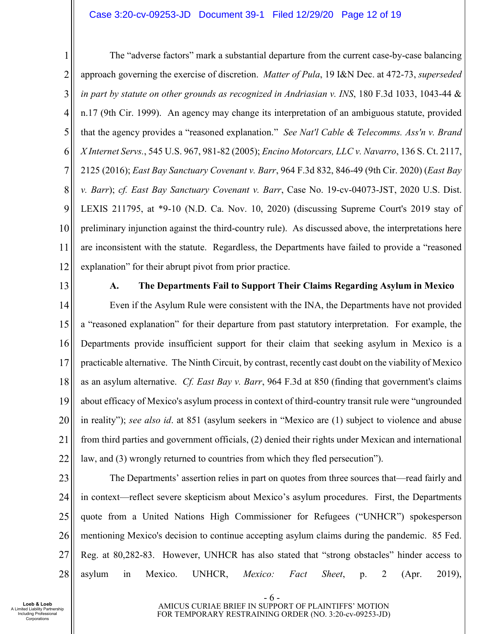#### Case 3:20-cv-09253-JD Document 39-1 Filed 12/29/20 Page 12 of 19

1 2 3 4 5 6 7 8 9 10 11 12 The "adverse factors" mark a substantial departure from the current case-by-case balancing approach governing the exercise of discretion. *Matter of Pula*, 19 I&N Dec. at 472-73, *superseded in part by statute on other grounds as recognized in Andriasian v. INS*, 180 F.3d 1033, 1043-44 & n.17 (9th Cir. 1999). An agency may change its interpretation of an ambiguous statute, provided that the agency provides a "reasoned explanation." *See Nat'l Cable & Telecomms. Ass'n v. Brand X Internet Servs.*, 545 U.S. 967, 981-82 (2005); *Encino Motorcars, LLC v. Navarro*, 136 S. Ct. 2117, 2125 (2016); *East Bay Sanctuary Covenant v. Barr*, 964 F.3d 832, 846-49 (9th Cir. 2020) (*East Bay v. Barr*); *cf. East Bay Sanctuary Covenant v. Barr*, Case No. 19-cv-04073-JST, 2020 U.S. Dist. LEXIS 211795, at \*9-10 (N.D. Ca. Nov. 10, 2020) (discussing Supreme Court's 2019 stay of preliminary injunction against the third-country rule). As discussed above, the interpretations here are inconsistent with the statute. Regardless, the Departments have failed to provide a "reasoned explanation" for their abrupt pivot from prior practice.

13

#### **A. The Departments Fail to Support Their Claims Regarding Asylum in Mexico**

14 15 16 17 18 19 20 21 22 Even if the Asylum Rule were consistent with the INA, the Departments have not provided a "reasoned explanation" for their departure from past statutory interpretation. For example, the Departments provide insufficient support for their claim that seeking asylum in Mexico is a practicable alternative. The Ninth Circuit, by contrast, recently cast doubt on the viability of Mexico as an asylum alternative. *Cf. East Bay v. Barr*, 964 F.3d at 850 (finding that government's claims about efficacy of Mexico's asylum process in context of third-country transit rule were "ungrounded in reality"); *see also id*. at 851 (asylum seekers in "Mexico are (1) subject to violence and abuse from third parties and government officials, (2) denied their rights under Mexican and international law, and (3) wrongly returned to countries from which they fled persecution").

23

24 25 26 27 28 The Departments' assertion relies in part on quotes from three sources that—read fairly and in context—reflect severe skepticism about Mexico's asylum procedures. First, the Departments quote from a United Nations High Commissioner for Refugees ("UNHCR") spokesperson mentioning Mexico's decision to continue accepting asylum claims during the pandemic. 85 Fed. Reg. at 80,282-83. However, UNHCR has also stated that "strong obstacles" hinder access to asylum in Mexico. UNHCR, *Mexico: Fact Sheet*, p. 2 (Apr. 2019),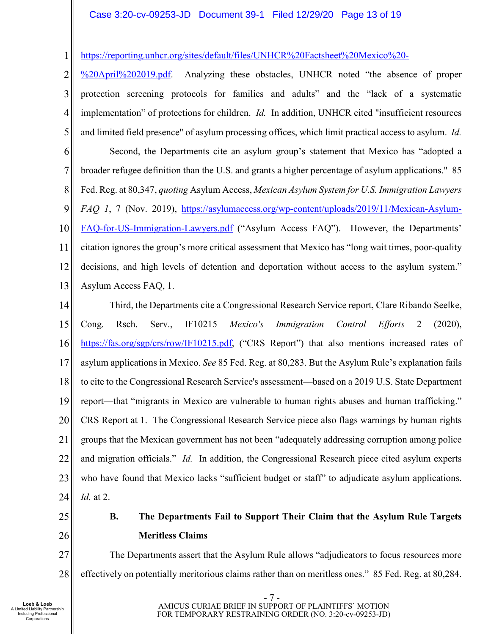### Case 3:20-cv-09253-JD Document 39-1 Filed 12/29/20 Page 13 of 19

1 https://reporting.unhcr.org/sites/default/files/UNHCR%20Factsheet%20Mexico%20-

2 3 4 5 6 7 8 9 10 11 12 13 %20April%202019.pdf. Analyzing these obstacles, UNHCR noted "the absence of proper protection screening protocols for families and adults" and the "lack of a systematic implementation" of protections for children. *Id.* In addition, UNHCR cited "insufficient resources and limited field presence" of asylum processing offices, which limit practical access to asylum. *Id.* Second, the Departments cite an asylum group's statement that Mexico has "adopted a broader refugee definition than the U.S. and grants a higher percentage of asylum applications." 85 Fed. Reg. at 80,347, *quoting* Asylum Access, *Mexican Asylum System for U.S. Immigration Lawyers FAQ 1*, 7 (Nov. 2019), https://asylumaccess.org/wp-content/uploads/2019/11/Mexican-Asylum-FAQ-for-US-Immigration-Lawyers.pdf ("Asylum Access FAQ"). However, the Departments' citation ignores the group's more critical assessment that Mexico has "long wait times, poor-quality decisions, and high levels of detention and deportation without access to the asylum system." Asylum Access FAQ, 1.

14 15 16 17 18 19 20 21 22 23 24 Third, the Departments cite a Congressional Research Service report, Clare Ribando Seelke, Cong. Rsch. Serv., IF10215 *Mexico's Immigration Control Efforts* 2 (2020), https://fas.org/sgp/crs/row/IF10215.pdf, ("CRS Report") that also mentions increased rates of asylum applications in Mexico. *See* 85 Fed. Reg. at 80,283. But the Asylum Rule's explanation fails to cite to the Congressional Research Service's assessment—based on a 2019 U.S. State Department report—that "migrants in Mexico are vulnerable to human rights abuses and human trafficking." CRS Report at 1. The Congressional Research Service piece also flags warnings by human rights groups that the Mexican government has not been "adequately addressing corruption among police and migration officials." *Id.* In addition, the Congressional Research piece cited asylum experts who have found that Mexico lacks "sufficient budget or staff" to adjudicate asylum applications. *Id.* at 2.

25

26

**B. The Departments Fail to Support Their Claim that the Asylum Rule Targets Meritless Claims** 

27 28 The Departments assert that the Asylum Rule allows "adjudicators to focus resources more effectively on potentially meritorious claims rather than on meritless ones." 85 Fed. Reg. at 80,284.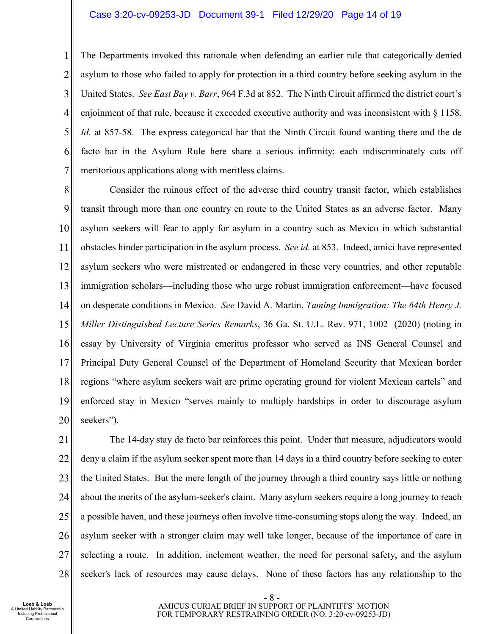#### Case 3:20-cv-09253-JD Document 39-1 Filed 12/29/20 Page 14 of 19

1 2 3 4 5 6 7 The Departments invoked this rationale when defending an earlier rule that categorically denied asylum to those who failed to apply for protection in a third country before seeking asylum in the United States. *See East Bay v. Barr*, 964 F.3d at 852. The Ninth Circuit affirmed the district court's enjoinment of that rule, because it exceeded executive authority and was inconsistent with  $\S$  1158. *Id.* at 857-58. The express categorical bar that the Ninth Circuit found wanting there and the de facto bar in the Asylum Rule here share a serious infirmity: each indiscriminately cuts off meritorious applications along with meritless claims.

8 9 10 11 12 13 14 15 16 17 18 19 20 Consider the ruinous effect of the adverse third country transit factor, which establishes transit through more than one country en route to the United States as an adverse factor. Many asylum seekers will fear to apply for asylum in a country such as Mexico in which substantial obstacles hinder participation in the asylum process. *See id.* at 853. Indeed, amici have represented asylum seekers who were mistreated or endangered in these very countries, and other reputable immigration scholars—including those who urge robust immigration enforcement—have focused on desperate conditions in Mexico. *See* David A. Martin, *Taming Immigration: The 64th Henry J. Miller Distinguished Lecture Series Remarks*, 36 Ga. St. U.L. Rev. 971, 1002 (2020) (noting in essay by University of Virginia emeritus professor who served as INS General Counsel and Principal Duty General Counsel of the Department of Homeland Security that Mexican border regions "where asylum seekers wait are prime operating ground for violent Mexican cartels" and enforced stay in Mexico "serves mainly to multiply hardships in order to discourage asylum seekers").

21 22 23 24 25 26 27 28 The 14-day stay de facto bar reinforces this point. Under that measure, adjudicators would deny a claim if the asylum seeker spent more than 14 days in a third country before seeking to enter the United States. But the mere length of the journey through a third country says little or nothing about the merits of the asylum-seeker's claim. Many asylum seekers require a long journey to reach a possible haven, and these journeys often involve time-consuming stops along the way. Indeed, an asylum seeker with a stronger claim may well take longer, because of the importance of care in selecting a route. In addition, inclement weather, the need for personal safety, and the asylum seeker's lack of resources may cause delays. None of these factors has any relationship to the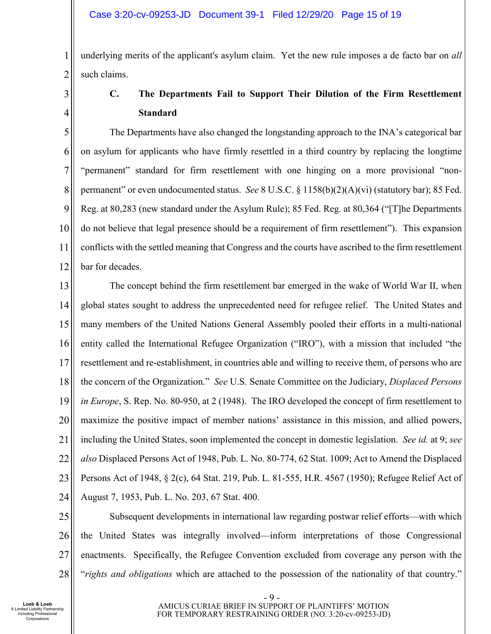1 2 underlying merits of the applicant's asylum claim. Yet the new rule imposes a de facto bar on *all*  such claims.

3 4

# **C. The Departments Fail to Support Their Dilution of the Firm Resettlement Standard**

5 6 7 8 9 10 11 12 The Departments have also changed the longstanding approach to the INA's categorical bar on asylum for applicants who have firmly resettled in a third country by replacing the longtime "permanent" standard for firm resettlement with one hinging on a more provisional "nonpermanent" or even undocumented status. *See* 8 U.S.C. § 1158(b)(2)(A)(vi) (statutory bar); 85 Fed. Reg. at 80,283 (new standard under the Asylum Rule); 85 Fed. Reg. at 80,364 ("[T]he Departments do not believe that legal presence should be a requirement of firm resettlement"). This expansion conflicts with the settled meaning that Congress and the courts have ascribed to the firm resettlement bar for decades.

13 14 15 16 17 18 19 20 21 22 23 24 The concept behind the firm resettlement bar emerged in the wake of World War II, when global states sought to address the unprecedented need for refugee relief. The United States and many members of the United Nations General Assembly pooled their efforts in a multi-national entity called the International Refugee Organization ("IRO"), with a mission that included "the resettlement and re-establishment, in countries able and willing to receive them, of persons who are the concern of the Organization." *See* U.S. Senate Committee on the Judiciary, *Displaced Persons in Europe*, S. Rep. No. 80-950, at 2 (1948). The IRO developed the concept of firm resettlement to maximize the positive impact of member nations' assistance in this mission, and allied powers, including the United States, soon implemented the concept in domestic legislation. *See id.* at 9; *see also* Displaced Persons Act of 1948, Pub. L. No. 80-774, 62 Stat. 1009; Act to Amend the Displaced Persons Act of 1948, § 2(c), 64 Stat. 219, Pub. L. 81-555, H.R. 4567 (1950); Refugee Relief Act of August 7, 1953, Pub. L. No. 203, 67 Stat. 400.

25 26 27 28 Subsequent developments in international law regarding postwar relief efforts—with which the United States was integrally involved—inform interpretations of those Congressional enactments. Specifically, the Refugee Convention excluded from coverage any person with the "*rights and obligations* which are attached to the possession of the nationality of that country."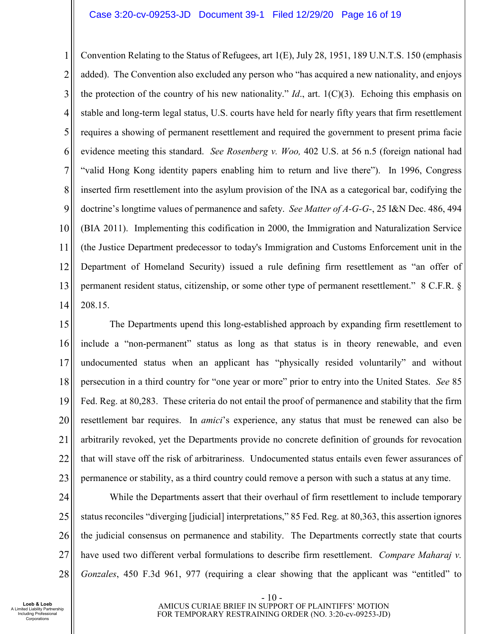1 2 3 4 5 6 7 8 9 10 11 12 13 14 Convention Relating to the Status of Refugees, art 1(E), July 28, 1951, 189 U.N.T.S. 150 (emphasis added). The Convention also excluded any person who "has acquired a new nationality, and enjoys the protection of the country of his new nationality." *Id*., art. 1(C)(3). Echoing this emphasis on stable and long-term legal status, U.S. courts have held for nearly fifty years that firm resettlement requires a showing of permanent resettlement and required the government to present prima facie evidence meeting this standard. *See Rosenberg v. Woo,* 402 U.S. at 56 n.5 (foreign national had "valid Hong Kong identity papers enabling him to return and live there"). In 1996, Congress inserted firm resettlement into the asylum provision of the INA as a categorical bar, codifying the doctrine's longtime values of permanence and safety. *See Matter of A-G-G-*, 25 I&N Dec. 486, 494 (BIA 2011). Implementing this codification in 2000, the Immigration and Naturalization Service (the Justice Department predecessor to today's Immigration and Customs Enforcement unit in the Department of Homeland Security) issued a rule defining firm resettlement as "an offer of permanent resident status, citizenship, or some other type of permanent resettlement." 8 C.F.R. § 208.15.

15 16 17 18 19 20 21 22 23 The Departments upend this long-established approach by expanding firm resettlement to include a "non-permanent" status as long as that status is in theory renewable, and even undocumented status when an applicant has "physically resided voluntarily" and without persecution in a third country for "one year or more" prior to entry into the United States. *See* 85 Fed. Reg. at 80,283. These criteria do not entail the proof of permanence and stability that the firm resettlement bar requires. In *amici*'s experience, any status that must be renewed can also be arbitrarily revoked, yet the Departments provide no concrete definition of grounds for revocation that will stave off the risk of arbitrariness. Undocumented status entails even fewer assurances of permanence or stability, as a third country could remove a person with such a status at any time.

24 25 26 27 28 While the Departments assert that their overhaul of firm resettlement to include temporary status reconciles "diverging [judicial] interpretations," 85 Fed. Reg. at 80,363, this assertion ignores the judicial consensus on permanence and stability. The Departments correctly state that courts have used two different verbal formulations to describe firm resettlement. *Compare Maharaj v. Gonzales*, 450 F.3d 961, 977 (requiring a clear showing that the applicant was "entitled" to

- 10 - AMICUS CURIAE BRIEF IN SUPPORT OF PLAINTIFFS' MOTION FOR TEMPORARY RESTRAINING ORDER (NO. 3:20-cv-09253-JD)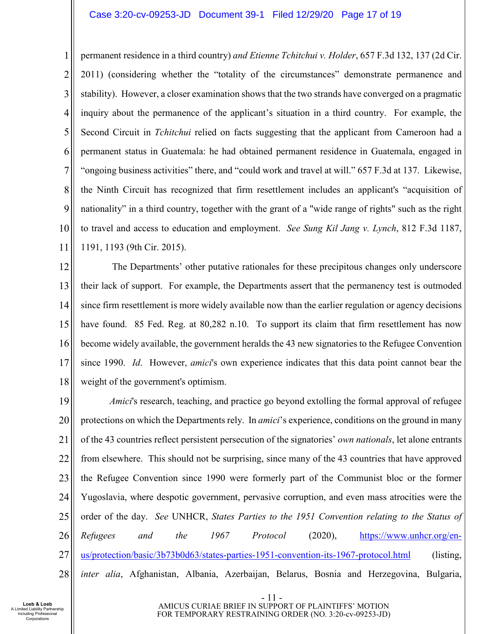#### Case 3:20-cv-09253-JD Document 39-1 Filed 12/29/20 Page 17 of 19

1 2 3 4 5 6 7 8 9 10 11 permanent residence in a third country) *and Etienne Tchitchui v. Holder*, 657 F.3d 132, 137 (2d Cir. 2011) (considering whether the "totality of the circumstances" demonstrate permanence and stability). However, a closer examination shows that the two strands have converged on a pragmatic inquiry about the permanence of the applicant's situation in a third country. For example, the Second Circuit in *Tchitchui* relied on facts suggesting that the applicant from Cameroon had a permanent status in Guatemala: he had obtained permanent residence in Guatemala, engaged in "ongoing business activities" there, and "could work and travel at will." 657 F.3d at 137. Likewise, the Ninth Circuit has recognized that firm resettlement includes an applicant's "acquisition of nationality" in a third country, together with the grant of a "wide range of rights" such as the right to travel and access to education and employment. *See Sung Kil Jang v. Lynch*, 812 F.3d 1187, 1191, 1193 (9th Cir. 2015).

12 13 14 15 16 17 18 The Departments' other putative rationales for these precipitous changes only underscore their lack of support. For example, the Departments assert that the permanency test is outmoded since firm resettlement is more widely available now than the earlier regulation or agency decisions have found. 85 Fed. Reg. at 80,282 n.10. To support its claim that firm resettlement has now become widely available, the government heralds the 43 new signatories to the Refugee Convention since 1990. *Id*. However, *amici*'s own experience indicates that this data point cannot bear the weight of the government's optimism.

19 20 21 22 23 24 25 26 27 28 *Amici*'s research, teaching, and practice go beyond extolling the formal approval of refugee protections on which the Departments rely. In *amici*'s experience, conditions on the ground in many of the 43 countries reflect persistent persecution of the signatories' *own nationals*, let alone entrants from elsewhere. This should not be surprising, since many of the 43 countries that have approved the Refugee Convention since 1990 were formerly part of the Communist bloc or the former Yugoslavia, where despotic government, pervasive corruption, and even mass atrocities were the order of the day. *See* UNHCR, *States Parties to the 1951 Convention relating to the Status of Refugees and the 1967 Protocol* (2020), https://www.unhcr.org/enus/protection/basic/3b73b0d63/states-parties-1951-convention-its-1967-protocol.html (listing, *inter alia*, Afghanistan, Albania, Azerbaijan, Belarus, Bosnia and Herzegovina, Bulgaria,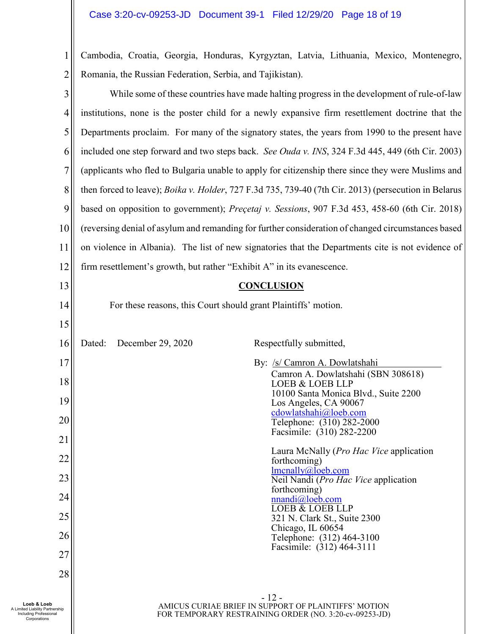1 2 Cambodia, Croatia, Georgia, Honduras, Kyrgyztan, Latvia, Lithuania, Mexico, Montenegro, Romania, the Russian Federation, Serbia, and Tajikistan).

| 3  | While some of these countries have made halting progress in the development of rule-of-law           |  |
|----|------------------------------------------------------------------------------------------------------|--|
| 4  | institutions, none is the poster child for a newly expansive firm resettlement doctrine that the     |  |
| 5  | Departments proclaim. For many of the signatory states, the years from 1990 to the present have      |  |
| 6  | included one step forward and two steps back. See Ouda v. INS, 324 F.3d 445, 449 (6th Cir. 2003)     |  |
| 7  | (applicants who fled to Bulgaria unable to apply for citizenship there since they were Muslims and   |  |
| 8  | then forced to leave); Boika v. Holder, 727 F.3d 735, 739-40 (7th Cir. 2013) (persecution in Belarus |  |
| 9  | based on opposition to government); Preçetaj v. Sessions, 907 F.3d 453, 458-60 (6th Cir. 2018)       |  |
| 10 | (reversing denial of asylum and remanding for further consideration of changed circumstances based   |  |
| 11 | on violence in Albania). The list of new signatories that the Departments cite is not evidence of    |  |
| 12 | firm resettlement's growth, but rather "Exhibit A" in its evanescence.                               |  |
| 13 | <b>CONCLUSION</b>                                                                                    |  |
| 14 | For these reasons, this Court should grant Plaintiffs' motion.                                       |  |
| 15 |                                                                                                      |  |
| 16 | Dated:<br>December 29, 2020<br>Respectfully submitted,                                               |  |
| 17 | By: /s/ Camron A. Dowlatshahi<br>Camron A. Dowlatshahi (SBN 308618)                                  |  |
| 18 | <b>LOEB &amp; LOEB LLP</b><br>10100 Santa Monica Blvd., Suite 2200                                   |  |
| 19 | Los Angeles, CA 90067<br>cdowlatshahi@loeb.com                                                       |  |
| 20 | Telephone: (310) 282-2000<br>Facsimile: (310) 282-2200                                               |  |
| 21 |                                                                                                      |  |
| 22 | Laura McNally ( <i>Pro Hac Vice</i> application<br>forthcoming)<br>lmenally@,lob.com                 |  |
| 23 | Neil Nandi (Pro Hac Vice application<br>forthcoming)                                                 |  |
| 24 | $nnandi@$ loeb.com<br>LOEB & LOEB LLP                                                                |  |
| 25 | 321 N. Clark St., Suite 2300<br>Chicago, IL 60654                                                    |  |
| 26 | Telephone: (312) 464-3100<br>Facsimile: (312) 464-3111                                               |  |
| 27 |                                                                                                      |  |
| 28 |                                                                                                      |  |
|    | - 12 -<br>$\pi$ זת ה $\alpha$ מה $\alpha$ תחזו $\alpha$ וגז הה                                       |  |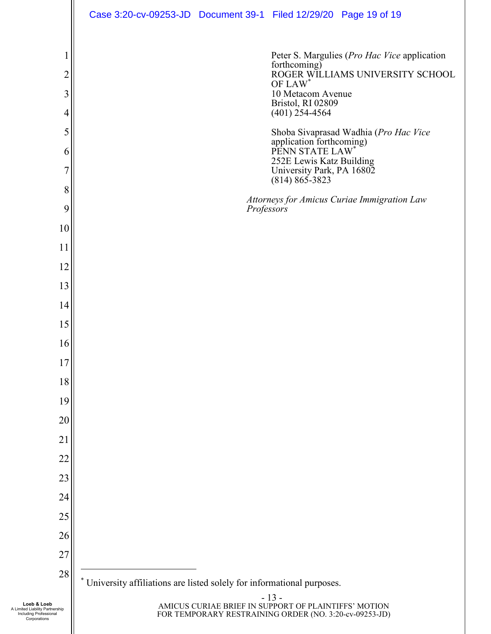|              | Case 3:20-cv-09253-JD  Document 39-1  Filed 12/29/20  Page 19 of 19 |                                                                       |                                                                                                                          |                                                                                          |  |  |
|--------------|---------------------------------------------------------------------|-----------------------------------------------------------------------|--------------------------------------------------------------------------------------------------------------------------|------------------------------------------------------------------------------------------|--|--|
| 2<br>3<br>4  |                                                                     |                                                                       | forthcoming)<br>10 Metacom Avenue<br>Bristol, RI 02809<br>$(401)$ 254-4564                                               | Peter S. Margulies (Pro Hac Vice application<br>ROGER WILLIAMS UNIVERSITY SCHOOL OF LAW* |  |  |
| 5            |                                                                     |                                                                       |                                                                                                                          | Shoba Sivaprasad Wadhia (Pro Hac Vice                                                    |  |  |
| 6            |                                                                     |                                                                       | application forthcoming)<br>PENN STATE LAW*                                                                              |                                                                                          |  |  |
| 7            |                                                                     |                                                                       | 252E Lewis Katz Building<br>University Park, PA 16802<br>$(814) 865 - 3823$                                              |                                                                                          |  |  |
| 8            |                                                                     |                                                                       |                                                                                                                          | Attorneys for Amicus Curiae Immigration Law                                              |  |  |
| 9            |                                                                     | Professors                                                            |                                                                                                                          |                                                                                          |  |  |
| 10           |                                                                     |                                                                       |                                                                                                                          |                                                                                          |  |  |
| 11           |                                                                     |                                                                       |                                                                                                                          |                                                                                          |  |  |
| 12           |                                                                     |                                                                       |                                                                                                                          |                                                                                          |  |  |
| 13           |                                                                     |                                                                       |                                                                                                                          |                                                                                          |  |  |
| 14           |                                                                     |                                                                       |                                                                                                                          |                                                                                          |  |  |
| 15           |                                                                     |                                                                       |                                                                                                                          |                                                                                          |  |  |
| 16<br>17     |                                                                     |                                                                       |                                                                                                                          |                                                                                          |  |  |
| 18           |                                                                     |                                                                       |                                                                                                                          |                                                                                          |  |  |
| 19           |                                                                     |                                                                       |                                                                                                                          |                                                                                          |  |  |
| 20           |                                                                     |                                                                       |                                                                                                                          |                                                                                          |  |  |
| 21           |                                                                     |                                                                       |                                                                                                                          |                                                                                          |  |  |
| 22           |                                                                     |                                                                       |                                                                                                                          |                                                                                          |  |  |
| 23           |                                                                     |                                                                       |                                                                                                                          |                                                                                          |  |  |
| 24           |                                                                     |                                                                       |                                                                                                                          |                                                                                          |  |  |
| 25           |                                                                     |                                                                       |                                                                                                                          |                                                                                          |  |  |
| 26           |                                                                     |                                                                       |                                                                                                                          |                                                                                          |  |  |
| 27           |                                                                     |                                                                       |                                                                                                                          |                                                                                          |  |  |
| 28           |                                                                     | University affiliations are listed solely for informational purposes. |                                                                                                                          |                                                                                          |  |  |
| ership<br>al |                                                                     |                                                                       | $-13-$<br>AMICUS CURIAE BRIEF IN SUPPORT OF PLAINTIFFS' MOTION<br>FOR TEMPORARY RESTRAINING ORDER (NO. 3:20-cv-09253-JD) |                                                                                          |  |  |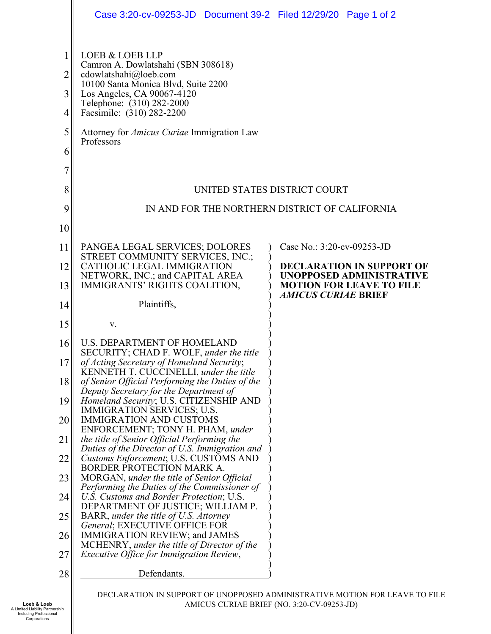|                                      | Case 3:20-cv-09253-JD  Document 39-2  Filed 12/29/20  Page 1 of 2                                                                                                                                                                                                                |                                                               |  |  |
|--------------------------------------|----------------------------------------------------------------------------------------------------------------------------------------------------------------------------------------------------------------------------------------------------------------------------------|---------------------------------------------------------------|--|--|
| 1<br>2<br>3<br>4<br>5<br>6<br>7<br>8 | LOEB & LOEB LLP<br>Camron A. Dowlatshahi (SBN 308618)<br>cdowlatshahi@loeb.com<br>10100 Santa Monica Blvd, Suite 2200<br>Los Angeles, CA 90067-4120<br>Telephone: (310) 282-2000<br>Facsimile: (310) 282-2200<br>Attorney for <i>Amicus Curiae</i> Immigration Law<br>Professors | UNITED STATES DISTRICT COURT                                  |  |  |
| 9                                    | IN AND FOR THE NORTHERN DISTRICT OF CALIFORNIA                                                                                                                                                                                                                                   |                                                               |  |  |
| 10                                   |                                                                                                                                                                                                                                                                                  |                                                               |  |  |
| 11                                   | PANGEA LEGAL SERVICES; DOLORES<br>STREET COMMUNITY SERVICES, INC.;                                                                                                                                                                                                               | Case No.: 3:20-cv-09253-JD                                    |  |  |
| 12                                   | CATHOLIC LEGAL IMMIGRATION<br>NETWORK, INC.; and CAPITAL AREA                                                                                                                                                                                                                    | <b>DECLARATION IN SUPPORT OF</b><br>UNOPPOSED ADMINISTRATIVE  |  |  |
| 13                                   | IMMIGRANTS' RIGHTS COALITION,                                                                                                                                                                                                                                                    | <b>MOTION FOR LEAVE TO FILE</b><br><b>AMICUS CURIAE BRIEF</b> |  |  |
| 14                                   | Plaintiffs,                                                                                                                                                                                                                                                                      |                                                               |  |  |
| 15                                   | V.                                                                                                                                                                                                                                                                               |                                                               |  |  |
| 16                                   | <b>U.S. DEPARTMENT OF HOMELAND</b><br>SECURITY; CHAD F. WOLF, under the title                                                                                                                                                                                                    |                                                               |  |  |
| 17<br>18                             | of Acting Secretary of Homeland Security;<br>KENNETH T. CUCCINELLI, under the title<br>of Senior Official Performing the Duties of the                                                                                                                                           |                                                               |  |  |
| 19                                   | Deputy Secretary for the Department of<br>Homeland Security; U.S. CITIZENSHIP AND                                                                                                                                                                                                |                                                               |  |  |
| 20                                   | IMMIGRATION SERVICES; U.S.<br><b>IMMIGRATION AND CUSTOMS</b>                                                                                                                                                                                                                     |                                                               |  |  |
| 21                                   | ENFORCEMENT; TONY H. PHAM, under<br>the title of Senior Official Performing the                                                                                                                                                                                                  |                                                               |  |  |
| 22                                   | Duties of the Director of U.S. Immigration and<br>Customs Enforcement; U.S. CUSTOMS AND                                                                                                                                                                                          |                                                               |  |  |
| 23                                   | <b>BORDER PROTECTION MARK A.</b><br>MORGAN, under the title of Senior Official                                                                                                                                                                                                   |                                                               |  |  |
| 24                                   | Performing the Duties of the Commissioner of<br>U.S. Customs and Border Protection; U.S.                                                                                                                                                                                         |                                                               |  |  |
| 25                                   | DEPARTMENT OF JUSTICE; WILLIAM P.<br>BARR, under the title of U.S. Attorney                                                                                                                                                                                                      |                                                               |  |  |
| 26                                   | General; EXECUTIVE OFFICE FOR<br>IMMIGRATION REVIEW; and JAMES<br>MCHENRY, under the title of Director of the                                                                                                                                                                    |                                                               |  |  |
| 27                                   | Executive Office for Immigration Review,                                                                                                                                                                                                                                         |                                                               |  |  |
| 28                                   | Defendants.                                                                                                                                                                                                                                                                      |                                                               |  |  |
|                                      |                                                                                                                                                                                                                                                                                  |                                                               |  |  |

Including Professional Corporations

DECLARATION IN SUPPORT OF UNOPPOSED ADMINISTRATIVE MOTION FOR LEAVE TO FILE AMICUS CURIAE BRIEF (NO. 3:20-CV-09253-JD)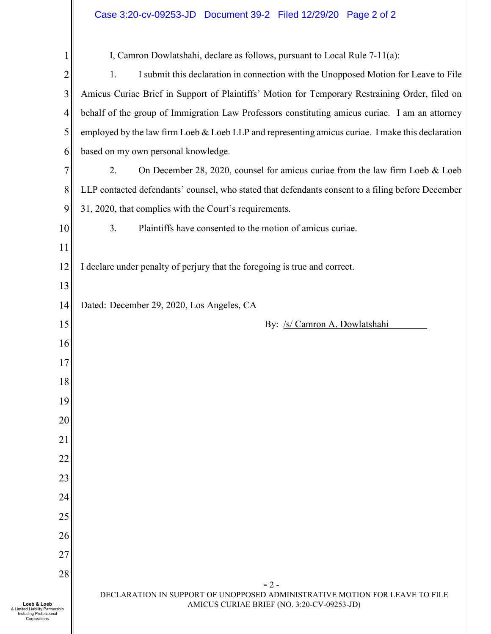### Case 3:20-cv-09253-JD Document 39-2 Filed 12/29/20 Page 2 of 2

|                                                                                          | I, Camron Dowlatshahi, declare as follows, pursuant to Local Rule 7-11(a):                                                |
|------------------------------------------------------------------------------------------|---------------------------------------------------------------------------------------------------------------------------|
| 2                                                                                        | 1.<br>I submit this declaration in connection with the Unopposed Motion for Leave to File                                 |
| 3                                                                                        | Amicus Curiae Brief in Support of Plaintiffs' Motion for Temporary Restraining Order, filed on                            |
| 4                                                                                        | behalf of the group of Immigration Law Professors constituting amicus curiae. I am an attorney                            |
| 5                                                                                        | employed by the law firm Loeb & Loeb LLP and representing amicus curiae. I make this declaration                          |
| 6                                                                                        | based on my own personal knowledge.                                                                                       |
| 7                                                                                        | 2.<br>On December 28, 2020, counsel for amicus curiae from the law firm Loeb & Loeb                                       |
| 8                                                                                        | LLP contacted defendants' counsel, who stated that defendants consent to a filing before December                         |
| 9<br>31, 2020, that complies with the Court's requirements.                              |                                                                                                                           |
| 10                                                                                       | 3.<br>Plaintiffs have consented to the motion of amicus curiae.                                                           |
| 11                                                                                       |                                                                                                                           |
| 12                                                                                       | I declare under penalty of perjury that the foregoing is true and correct.                                                |
| 13                                                                                       |                                                                                                                           |
| 14                                                                                       | Dated: December 29, 2020, Los Angeles, CA                                                                                 |
| 15                                                                                       | By: /s/ Camron A. Dowlatshahi                                                                                             |
| 16                                                                                       |                                                                                                                           |
| 17                                                                                       |                                                                                                                           |
| 18                                                                                       |                                                                                                                           |
| 19                                                                                       |                                                                                                                           |
| 20                                                                                       |                                                                                                                           |
| 21                                                                                       |                                                                                                                           |
| 22                                                                                       |                                                                                                                           |
| 23                                                                                       |                                                                                                                           |
| 24                                                                                       |                                                                                                                           |
| 25                                                                                       |                                                                                                                           |
| 26                                                                                       |                                                                                                                           |
| 27                                                                                       |                                                                                                                           |
| 28                                                                                       | $-2-$                                                                                                                     |
| Loeb & Loeb<br>A Limited Liability Partnership<br>Including Professional<br>Corporations | DECLARATION IN SUPPORT OF UNOPPOSED ADMINISTRATIVE MOTION FOR LEAVE TO FILE<br>AMICUS CURIAE BRIEF (NO. 3:20-CV-09253-JD) |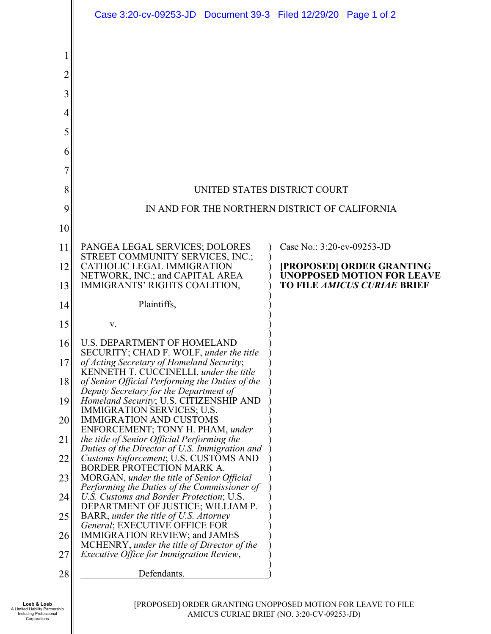|          | Case 3:20-cv-09253-JD  Document 39-3  Filed 12/29/20  Page 1 of 2                                                                      |                                                                |  |  |
|----------|----------------------------------------------------------------------------------------------------------------------------------------|----------------------------------------------------------------|--|--|
| 1        |                                                                                                                                        |                                                                |  |  |
| 2        |                                                                                                                                        |                                                                |  |  |
| 3<br>4   |                                                                                                                                        |                                                                |  |  |
| 5        |                                                                                                                                        |                                                                |  |  |
| 6        |                                                                                                                                        |                                                                |  |  |
| 7        |                                                                                                                                        |                                                                |  |  |
| 8        | UNITED STATES DISTRICT COURT                                                                                                           |                                                                |  |  |
| 9        | IN AND FOR THE NORTHERN DISTRICT OF CALIFORNIA                                                                                         |                                                                |  |  |
| 10       |                                                                                                                                        |                                                                |  |  |
| 11       | PANGEA LEGAL SERVICES; DOLORES<br>STREET COMMUNITY SERVICES, INC.;                                                                     | Case No.: 3:20-cv-09253-JD                                     |  |  |
| 12       | CATHOLIC LEGAL IMMIGRATION<br>NETWORK, INC.; and CAPITAL AREA                                                                          | [PROPOSED] ORDER GRANTING<br><b>UNOPPOSED MOTION FOR LEAVE</b> |  |  |
| 13       | IMMIGRANTS' RIGHTS COALITION,                                                                                                          | <b>TO FILE AMICUS CURIAE BRIEF</b>                             |  |  |
| 14       | Plaintiffs,                                                                                                                            |                                                                |  |  |
| 15       | V.                                                                                                                                     |                                                                |  |  |
| 16       | <b>U.S. DEPARTMENT OF HOMELAND</b><br>SECURITY; CHAD F. WOLF, under the title                                                          |                                                                |  |  |
| 17       | of Acting Secretary of Homeland Security;<br>KENNETH T. CUCCINELLI, under the title                                                    |                                                                |  |  |
| 18       | of Senior Official Performing the Duties of the<br>Deputy Secretary for the Department of                                              |                                                                |  |  |
| 19       | Homeland Security; U.S. CITIZENSHIP AND<br>IMMIGRATION SERVICES; U.S.                                                                  |                                                                |  |  |
| 20       | <b>IMMIGRATION AND CUSTOMS</b><br>ENFORCEMENT; TONY H. PHAM, under                                                                     |                                                                |  |  |
| 21<br>22 | the title of Senior Official Performing the<br>Duties of the Director of U.S. Immigration and<br>Customs Enforcement; U.S. CUSTOMS AND |                                                                |  |  |
| 23       | <b>BORDER PROTECTION MARK A.</b><br>MORGAN, under the title of Senior Official                                                         |                                                                |  |  |
| 24       | Performing the Duties of the Commissioner of<br>U.S. Customs and Border Protection; U.S.                                               |                                                                |  |  |
| 25       | DEPARTMENT OF JUSTICE; WILLIAM P.<br>BARR, under the title of U.S. Attorney                                                            |                                                                |  |  |
| 26       | General; EXECUTIVE OFFICE FOR<br>IMMIGRATION REVIEW; and JAMES                                                                         |                                                                |  |  |
| 27       | MCHENRY, under the title of Director of the<br>Executive Office for Immigration Review,                                                |                                                                |  |  |
| 28       | Defendants.                                                                                                                            |                                                                |  |  |
|          |                                                                                                                                        |                                                                |  |  |